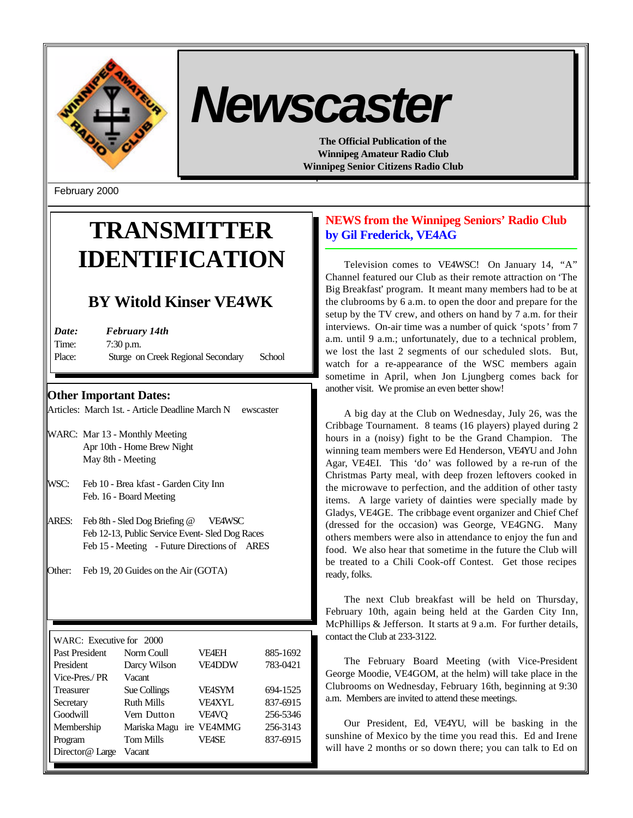

# *Newscaster*

**The Official Publication of the Winnipeg Amateur Radio Club Winnipeg Senior Citizens Radio Club**

February 2000

# **TRANSMITTER IDENTIFICATION**

# **BY Witold Kinser VE4WK**

| Date:  | February 14th                      |        |  |
|--------|------------------------------------|--------|--|
| Time:  | $7:30$ p.m.                        |        |  |
| Place: | Sturge on Creek Regional Secondary | School |  |

**Other Important Dates:**

Articles: March 1st. - Article Deadline March N ewscaster

- WARC: Mar 13 Monthly Meeting Apr 10th - Home Brew Night May 8th - Meeting
- WSC: Feb 10 Brea kfast Garden City Inn Feb. 16 - Board Meeting
- ARES: Feb 8th Sled Dog Briefing @ VE4WSC Feb 12-13, Public Service Event- Sled Dog Races Feb 15 - Meeting - Future Directions of ARES
- Other: Feb 19, 20 Guides on the Air (GOTA)

WARC: Executive for 2000 Past President Norm Coull VE4EH 885-1692 President Darcy Wilson VE4DDW 783-0421 Vice-Pres./ PR Vacant Treasurer Sue Collings VE4SYM 694-1525 Secretary Ruth Mills VE4XYL 837-6915 Goodwill Vern Dutton VE4VQ 256-5346 Membership Mariska Magu ire VE4MMG 256-3143 Program Tom Mills VE4SE 837-6915 Director@ Large Vacant

# **NEWS from the Winnipeg Seniors' Radio Club by Gil Frederick, VE4AG**

Television comes to VE4WSC! On January 14, "A" Channel featured our Club as their remote attraction on 'The Big Breakfast' program. It meant many members had to be at the clubrooms by 6 a.m. to open the door and prepare for the setup by the TV crew, and others on hand by 7 a.m. for their interviews. On-air time was a number of quick 'spots' from 7 a.m. until 9 a.m.; unfortunately, due to a technical problem, we lost the last 2 segments of our scheduled slots. But, watch for a re-appearance of the WSC members again sometime in April, when Jon Ljungberg comes back for another visit. We promise an even better show!

A big day at the Club on Wednesday, July 26, was the Cribbage Tournament. 8 teams (16 players) played during 2 hours in a (noisy) fight to be the Grand Champion. The winning team members were Ed Henderson, VE4YU and John Agar, VE4EI. This 'do' was followed by a re-run of the Christmas Party meal, with deep frozen leftovers cooked in the microwave to perfection, and the addition of other tasty items. A large variety of dainties were specially made by Gladys, VE4GE. The cribbage event organizer and Chief Chef (dressed for the occasion) was George, VE4GNG. Many others members were also in attendance to enjoy the fun and food. We also hear that sometime in the future the Club will be treated to a Chili Cook-off Contest. Get those recipes ready, folks.

The next Club breakfast will be held on Thursday, February 10th, again being held at the Garden City Inn, McPhillips & Jefferson. It starts at 9 a.m. For further details, contact the Club at 233-3122.

The February Board Meeting (with Vice-President George Moodie, VE4GOM, at the helm) will take place in the Clubrooms on Wednesday, February 16th, beginning at 9:30 a.m. Members are invited to attend these meetings.

Our President, Ed, VE4YU, will be basking in the sunshine of Mexico by the time you read this. Ed and Irene will have 2 months or so down there; you can talk to Ed on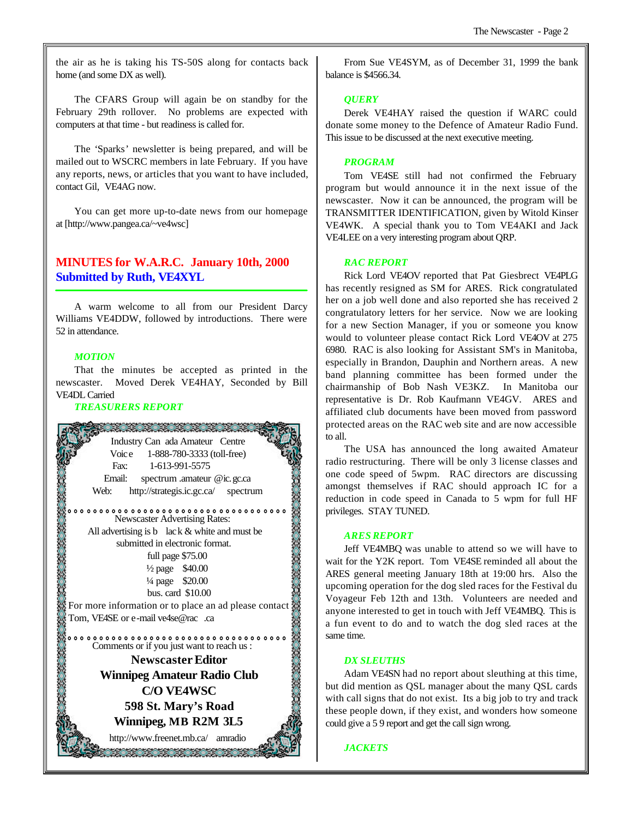the air as he is taking his TS-50S along for contacts back home (and some DX as well).

The CFARS Group will again be on standby for the February 29th rollover. No problems are expected with computers at that time - but readiness is called for.

The 'Sparks' newsletter is being prepared, and will be mailed out to WSCRC members in late February. If you have any reports, news, or articles that you want to have included, contact Gil, VE4AG now.

You can get more up-to-date news from our homepage at [http://www.pangea.ca/~ve4wsc]

# **MINUTES for W.A.R.C. January 10th, 2000 Submitted by Ruth, VE4XYL**

A warm welcome to all from our President Darcy Williams VE4DDW, followed by introductions. There were 52 in attendance.

#### *MOTION*

That the minutes be accepted as printed in the newscaster. Moved Derek VE4HAY, Seconded by Bill VE4DL Carried

#### *TREASURERS REPORT*



From Sue VE4SYM, as of December 31, 1999 the bank balance is \$4566.34.

#### *QUERY*

Derek VE4HAY raised the question if WARC could donate some money to the Defence of Amateur Radio Fund. This issue to be discussed at the next executive meeting.

#### *PROGRAM*

Tom VE4SE still had not confirmed the February program but would announce it in the next issue of the newscaster. Now it can be announced, the program will be TRANSMITTER IDENTIFICATION, given by Witold Kinser VE4WK. A special thank you to Tom VE4AKI and Jack VE4LEE on a very interesting program about QRP.

#### *RAC REPORT*

Rick Lord VE4OV reported that Pat Giesbrect VE4PLG has recently resigned as SM for ARES. Rick congratulated her on a job well done and also reported she has received 2 congratulatory letters for her service. Now we are looking for a new Section Manager, if you or someone you know would to volunteer please contact Rick Lord VE4OV at 275 6980. RAC is also looking for Assistant SM's in Manitoba, especially in Brandon, Dauphin and Northern areas. A new band planning committee has been formed under the chairmanship of Bob Nash VE3KZ. In Manitoba our representative is Dr. Rob Kaufmann VE4GV. ARES and affiliated club documents have been moved from password protected areas on the RAC web site and are now accessible to all.

The USA has announced the long awaited Amateur radio restructuring. There will be only 3 license classes and one code speed of 5wpm. RAC directors are discussing amongst themselves if RAC should approach IC for a reduction in code speed in Canada to 5 wpm for full HF privileges. STAY TUNED.

#### *ARES REPORT*

Jeff VE4MBQ was unable to attend so we will have to wait for the Y2K report. Tom VE4SE reminded all about the ARES general meeting January 18th at 19:00 hrs. Also the upcoming operation for the dog sled races for the Festival du Voyageur Feb 12th and 13th. Volunteers are needed and anyone interested to get in touch with Jeff VE4MBQ. This is a fun event to do and to watch the dog sled races at the same time.

#### *DX SLEUTHS*

Adam VE4SN had no report about sleuthing at this time, but did mention as QSL manager about the many QSL cards with call signs that do not exist. Its a big job to try and track these people down, if they exist, and wonders how someone could give a 5 9 report and get the call sign wrong.

#### *JACKETS*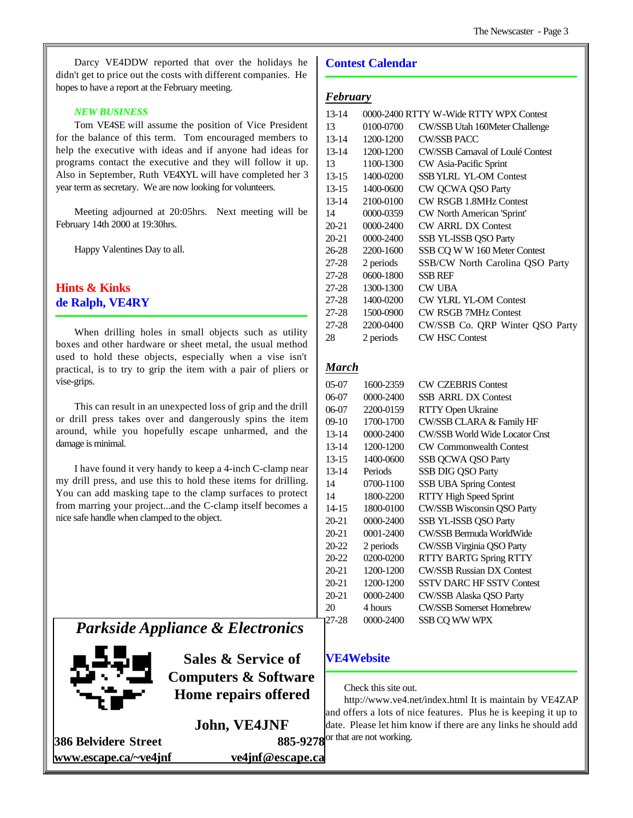Darcy VE4DDW reported that over the holidays he didn't get to price out the costs with different companies. He hopes to have a report at the February meeting.

#### *NEW BUSINESS*

Tom VE4SE will assume the position of Vice President for the balance of this term. Tom encouraged members to help the executive with ideas and if anyone had ideas for programs contact the executive and they will follow it up. Also in September, Ruth VE4XYL will have completed her 3 year term as secretary. We are now looking for volunteers.

Meeting adjourned at 20:05hrs. Next meeting will be February 14th 2000 at 19:30hrs.

Happy Valentines Day to all.

# **Hints & Kinks de Ralph, VE4RY**

When drilling holes in small objects such as utility boxes and other hardware or sheet metal, the usual method used to hold these objects, especially when a vise isn't practical, is to try to grip the item with a pair of pliers or vise-grips.

This can result in an unexpected loss of grip and the drill or drill press takes over and dangerously spins the item around, while you hopefully escape unharmed, and the damage is minimal.

I have found it very handy to keep a 4-inch C-clamp near my drill press, and use this to hold these items for drilling. You can add masking tape to the clamp surfaces to protect from marring your project...and the C-clamp itself becomes a nice safe handle when clamped to the object.

# *Parkside Appliance & Electronics*



**Sales & Service of Computers & Software Home repairs offered**

**John, VE4JNF**

**386 Belvidere Street www.escape.ca/~ve4jnf ve4jnf@escape.ca**

#### **Contest Calendar**

#### *February*

| $13 - 14$ |               | 0000-2400 RTTY W-Wide RTTY WPX Contest  |
|-----------|---------------|-----------------------------------------|
| 13        | 0100-0700     | CW/SSB Utah 160Meter Challenge          |
| $13 - 14$ | 1200-1200     | <b>CW/SSB PACC</b>                      |
| $13 - 14$ | 1200-1200     | <b>CW/SSB Carnaval of Loulé Contest</b> |
| 13        | 1100-1300     | CW Asia-Pacific Sprint                  |
| $13 - 15$ | 1400-0200     | <b>SSB YLRL YL-OM Contest</b>           |
| $13-15$   | 1400-0600     | CW QCWA QSO Party                       |
| $13 - 14$ | 2100-0100     | CW RSGB 1.8MHz Contest                  |
| 14        | 0000-0359     | CW North American 'Sprint'              |
| $20 - 21$ | $0000 - 2400$ | <b>CW ARRL DX Contest</b>               |
| $20 - 21$ | 0000-2400     | SSB YL-ISSB QSO Party                   |
| 26-28     | 2200-1600     | SSB CQ W W 160 Meter Contest            |
| 27-28     | 2 periods     | SSB/CW North Carolina QSO Party         |
| 27-28     | 0600-1800     | <b>SSB REF</b>                          |
| 27-28     | 1300-1300     | <b>CW UBA</b>                           |
| 27-28     | 1400-0200     | <b>CW YLRL YL-OM Contest</b>            |
| 27-28     | 1500-0900     | <b>CW RSGB 7MHz Contest</b>             |
| 27-28     | 2200-0400     | CW/SSB Co. QRP Winter QSO Party         |
| 28        | 2 periods     | <b>CW HSC Contest</b>                   |

# *March*

| 05-07     | 1600-2359 | <b>CW CZEBRIS Contest</b>             |
|-----------|-----------|---------------------------------------|
| 06-07     | 0000-2400 | <b>SSB ARRL DX Contest</b>            |
| 06-07     | 2200-0159 | RTTY Open Ukraine                     |
| 09-10     | 1700-1700 | CW/SSB CLARA & Family HF              |
| $13 - 14$ | 0000-2400 | <b>CW/SSB World Wide Locator Cnst</b> |
| $13 - 14$ | 1200-1200 | <b>CW Commonwealth Contest</b>        |
| $13 - 15$ | 1400-0600 | <b>SSB QCWA QSO Party</b>             |
| $13 - 14$ | Periods   | <b>SSB DIG QSO Party</b>              |
| 14        | 0700-1100 | <b>SSB UBA Spring Contest</b>         |
| 14        | 1800-2200 | <b>RTTY High Speed Sprint</b>         |
| $14 - 15$ | 1800-0100 | CW/SSB Wisconsin QSO Party            |
| 20-21     | 0000-2400 | SSB YL-ISSB QSO Party                 |
| 20-21     | 0001-2400 | CW/SSB Bermuda WorldWide              |
| 20-22     | 2 periods | CW/SSB Virginia QSO Party             |
| 20-22     | 0200-0200 | <b>RTTY BARTG Spring RTTY</b>         |
| 20-21     | 1200-1200 | <b>CW/SSB Russian DX Contest</b>      |
| 20-21     | 1200-1200 | <b>SSTV DARC HF SSTV Contest</b>      |
| 20-21     | 0000-2400 | CW/SSB Alaska QSO Party               |
| 20        | 4 hours   | <b>CW/SSB Somerset Homebrew</b>       |
| 27-28     | 0000-2400 | SSB CQ WW WPX                         |

#### **VE4Website**

Check this site out.

http://www.ve4.net/index.html It is maintain by VE4ZAP and offers a lots of nice features. Plus he is keeping it up to date. Please let him know if there are any links he should add  $885-9278$  or that are not working.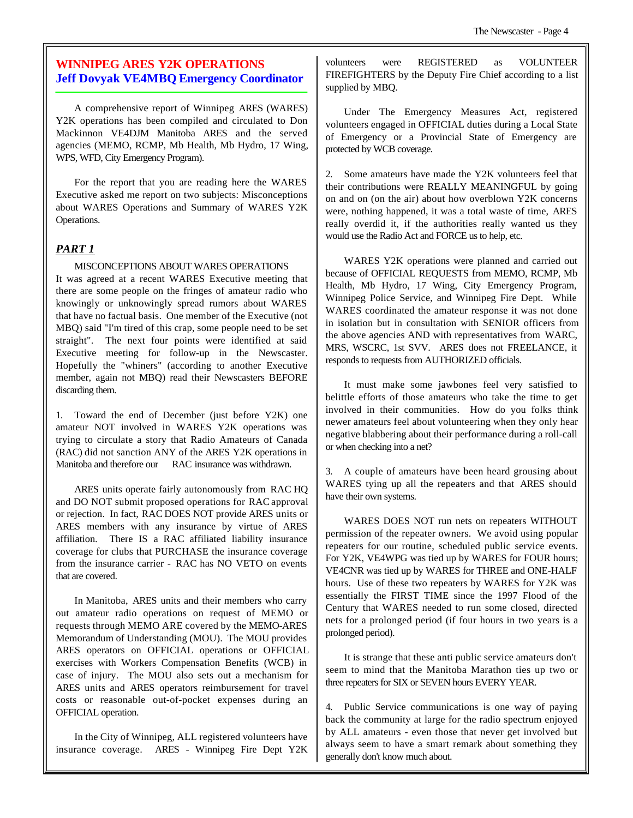# **WINNIPEG ARES Y2K OPERATIONS Jeff Dovyak VE4MBQ Emergency Coordinator**

A comprehensive report of Winnipeg ARES (WARES) Y2K operations has been compiled and circulated to Don Mackinnon VE4DJM Manitoba ARES and the served agencies (MEMO, RCMP, Mb Health, Mb Hydro, 17 Wing, WPS, WFD, City Emergency Program).

For the report that you are reading here the WARES Executive asked me report on two subjects: Misconceptions about WARES Operations and Summary of WARES Y2K Operations.

# *PART 1*

#### MISCONCEPTIONS ABOUT WARES OPERATIONS

It was agreed at a recent WARES Executive meeting that there are some people on the fringes of amateur radio who knowingly or unknowingly spread rumors about WARES that have no factual basis. One member of the Executive (not MBQ) said "I'm tired of this crap, some people need to be set straight". The next four points were identified at said Executive meeting for follow-up in the Newscaster. Hopefully the "whiners" (according to another Executive member, again not MBQ) read their Newscasters BEFORE discarding them.

1. Toward the end of December (just before Y2K) one amateur NOT involved in WARES Y2K operations was trying to circulate a story that Radio Amateurs of Canada (RAC) did not sanction ANY of the ARES Y2K operations in Manitoba and therefore our RAC insurance was withdrawn.

ARES units operate fairly autonomously from RAC HQ and DO NOT submit proposed operations for RAC approval or rejection. In fact, RAC DOES NOT provide ARES units or ARES members with any insurance by virtue of ARES affiliation. There IS a RAC affiliated liability insurance coverage for clubs that PURCHASE the insurance coverage from the insurance carrier - RAC has NO VETO on events that are covered.

In Manitoba, ARES units and their members who carry out amateur radio operations on request of MEMO or requests through MEMO ARE covered by the MEMO-ARES Memorandum of Understanding (MOU). The MOU provides ARES operators on OFFICIAL operations or OFFICIAL exercises with Workers Compensation Benefits (WCB) in case of injury. The MOU also sets out a mechanism for ARES units and ARES operators reimbursement for travel costs or reasonable out-of-pocket expenses during an OFFICIAL operation.

In the City of Winnipeg, ALL registered volunteers have insurance coverage. ARES - Winnipeg Fire Dept Y2K

volunteers were REGISTERED as VOLUNTEER FIREFIGHTERS by the Deputy Fire Chief according to a list supplied by MBQ.

Under The Emergency Measures Act, registered volunteers engaged in OFFICIAL duties during a Local State of Emergency or a Provincial State of Emergency are protected by WCB coverage.

2. Some amateurs have made the Y2K volunteers feel that their contributions were REALLY MEANINGFUL by going on and on (on the air) about how overblown Y2K concerns were, nothing happened, it was a total waste of time, ARES really overdid it, if the authorities really wanted us they would use the Radio Act and FORCE us to help, etc.

WARES Y2K operations were planned and carried out because of OFFICIAL REQUESTS from MEMO, RCMP, Mb Health, Mb Hydro, 17 Wing, City Emergency Program, Winnipeg Police Service, and Winnipeg Fire Dept. While WARES coordinated the amateur response it was not done in isolation but in consultation with SENIOR officers from the above agencies AND with representatives from WARC, MRS, WSCRC, 1st SVV. ARES does not FREELANCE, it responds to requests from AUTHORIZED officials.

It must make some jawbones feel very satisfied to belittle efforts of those amateurs who take the time to get involved in their communities. How do you folks think newer amateurs feel about volunteering when they only hear negative blabbering about their performance during a roll-call or when checking into a net?

3. A couple of amateurs have been heard grousing about WARES tying up all the repeaters and that ARES should have their own systems.

WARES DOES NOT run nets on repeaters WITHOUT permission of the repeater owners. We avoid using popular repeaters for our routine, scheduled public service events. For Y2K, VE4WPG was tied up by WARES for FOUR hours; VE4CNR was tied up by WARES for THREE and ONE-HALF hours. Use of these two repeaters by WARES for Y2K was essentially the FIRST TIME since the 1997 Flood of the Century that WARES needed to run some closed, directed nets for a prolonged period (if four hours in two years is a prolonged period).

It is strange that these anti public service amateurs don't seem to mind that the Manitoba Marathon ties up two or three repeaters for SIX or SEVEN hours EVERY YEAR.

4. Public Service communications is one way of paying back the community at large for the radio spectrum enjoyed by ALL amateurs - even those that never get involved but always seem to have a smart remark about something they generally don't know much about.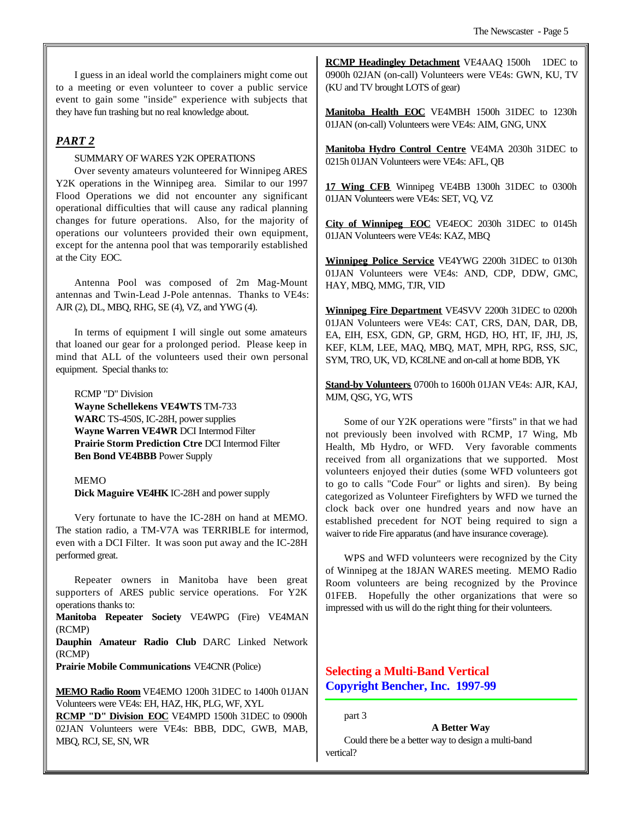I guess in an ideal world the complainers might come out to a meeting or even volunteer to cover a public service event to gain some "inside" experience with subjects that they have fun trashing but no real knowledge about.

# *PART 2*

#### SUMMARY OF WARES Y2K OPERATIONS

Over seventy amateurs volunteered for Winnipeg ARES Y2K operations in the Winnipeg area. Similar to our 1997 Flood Operations we did not encounter any significant operational difficulties that will cause any radical planning changes for future operations. Also, for the majority of operations our volunteers provided their own equipment, except for the antenna pool that was temporarily established at the City EOC.

Antenna Pool was composed of 2m Mag-Mount antennas and Twin-Lead J-Pole antennas. Thanks to VE4s: AJR (2), DL, MBQ, RHG, SE (4), VZ, and YWG (4).

In terms of equipment I will single out some amateurs that loaned our gear for a prolonged period. Please keep in mind that ALL of the volunteers used their own personal equipment. Special thanks to:

RCMP "D" Division **Wayne Schellekens VE4WTS** TM-733 **WARC** TS-450S, IC-28H, power supplies **Wayne Warren VE4WR** DCI Intermod Filter **Prairie Storm Prediction Ctre** DCI Intermod Filter **Ben Bond VE4BBB** Power Supply

#### **MEMO**

**Dick Maguire VE4HK** IC-28H and power supply

Very fortunate to have the IC-28H on hand at MEMO. The station radio, a TM-V7A was TERRIBLE for intermod, even with a DCI Filter. It was soon put away and the IC-28H performed great.

Repeater owners in Manitoba have been great supporters of ARES public service operations. For Y2K operations thanks to:

**Manitoba Repeater Society** VE4WPG (Fire) VE4MAN (RCMP)

**Dauphin Amateur Radio Club** DARC Linked Network (RCMP)

**Prairie Mobile Communications** VE4CNR (Police)

**MEMO Radio Room** VE4EMO 1200h 31DEC to 1400h 01JAN Volunteers were VE4s: EH, HAZ, HK, PLG, WF, XYL

**RCMP "D" Division EOC** VE4MPD 1500h 31DEC to 0900h 02JAN Volunteers were VE4s: BBB, DDC, GWB, MAB, MBQ, RCJ, SE, SN, WR

**RCMP Headingley Detachment** VE4AAQ 1500h 1DEC to 0900h 02JAN (on-call) Volunteers were VE4s: GWN, KU, TV (KU and TV brought LOTS of gear)

**Manitoba Health EOC** VE4MBH 1500h 31DEC to 1230h 01JAN (on-call) Volunteers were VE4s: AIM, GNG, UNX

**Manitoba Hydro Control Centre** VE4MA 2030h 31DEC to 0215h 01JAN Volunteers were VE4s: AFL, QB

**17 Wing CFB** Winnipeg VE4BB 1300h 31DEC to 0300h 01JAN Volunteers were VE4s: SET, VQ, VZ

**City of Winnipeg EOC** VE4EOC 2030h 31DEC to 0145h 01JAN Volunteers were VE4s: KAZ, MBQ

**Winnipeg Police Service** VE4YWG 2200h 31DEC to 0130h 01JAN Volunteers were VE4s: AND, CDP, DDW, GMC, HAY, MBQ, MMG, TJR, VID

**Winnipeg Fire Department** VE4SVV 2200h 31DEC to 0200h 01JAN Volunteers were VE4s: CAT, CRS, DAN, DAR, DB, EA, EIH, ESX, GDN, GP, GRM, HGD, HO, HT, IF, JHJ, JS, KEF, KLM, LEE, MAQ, MBQ, MAT, MPH, RPG, RSS, SJC, SYM, TRO, UK, VD, KC8LNE and on-call at home BDB, YK

**Stand-by Volunteers** 0700h to 1600h 01JAN VE4s: AJR, KAJ, MJM, QSG, YG, WTS

Some of our Y2K operations were "firsts" in that we had not previously been involved with RCMP, 17 Wing, Mb Health, Mb Hydro, or WFD. Very favorable comments received from all organizations that we supported. Most volunteers enjoyed their duties (some WFD volunteers got to go to calls "Code Four" or lights and siren). By being categorized as Volunteer Firefighters by WFD we turned the clock back over one hundred years and now have an established precedent for NOT being required to sign a waiver to ride Fire apparatus (and have insurance coverage).

WPS and WFD volunteers were recognized by the City of Winnipeg at the 18JAN WARES meeting. MEMO Radio Room volunteers are being recognized by the Province 01FEB. Hopefully the other organizations that were so impressed with us will do the right thing for their volunteers.

# **Selecting a Multi-Band Vertical Copyright Bencher, Inc. 1997-99**

part 3

**A Better Way**

Could there be a better way to design a multi-band vertical?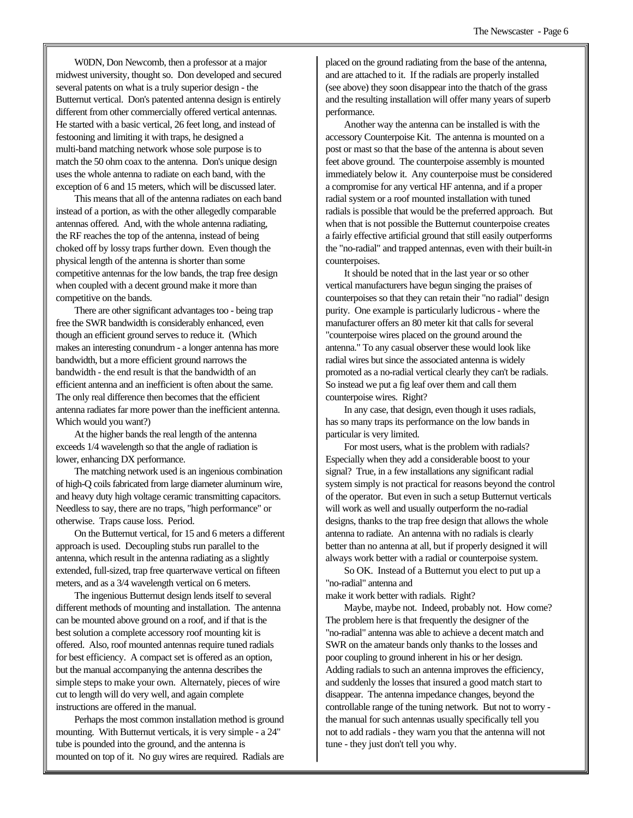W0DN, Don Newcomb, then a professor at a major midwest university, thought so. Don developed and secured several patents on what is a truly superior design - the Butternut vertical. Don's patented antenna design is entirely different from other commercially offered vertical antennas. He started with a basic vertical, 26 feet long, and instead of festooning and limiting it with traps, he designed a multi-band matching network whose sole purpose is to match the 50 ohm coax to the antenna. Don's unique design uses the whole antenna to radiate on each band, with the exception of 6 and 15 meters, which will be discussed later.

This means that all of the antenna radiates on each band instead of a portion, as with the other allegedly comparable antennas offered. And, with the whole antenna radiating, the RF reaches the top of the antenna, instead of being choked off by lossy traps further down. Even though the physical length of the antenna is shorter than some competitive antennas for the low bands, the trap free design when coupled with a decent ground make it more than competitive on the bands.

There are other significant advantages too - being trap free the SWR bandwidth is considerably enhanced, even though an efficient ground serves to reduce it. (Which makes an interesting conundrum - a longer antenna has more bandwidth, but a more efficient ground narrows the bandwidth - the end result is that the bandwidth of an efficient antenna and an inefficient is often about the same. The only real difference then becomes that the efficient antenna radiates far more power than the inefficient antenna. Which would you want?)

At the higher bands the real length of the antenna exceeds 1/4 wavelength so that the angle of radiation is lower, enhancing DX performance.

The matching network used is an ingenious combination of high-Q coils fabricated from large diameter aluminum wire, and heavy duty high voltage ceramic transmitting capacitors. Needless to say, there are no traps, "high performance" or otherwise. Traps cause loss. Period.

On the Butternut vertical, for 15 and 6 meters a different approach is used. Decoupling stubs run parallel to the antenna, which result in the antenna radiating as a slightly extended, full-sized, trap free quarterwave vertical on fifteen meters, and as a 3/4 wavelength vertical on 6 meters.

The ingenious Butternut design lends itself to several different methods of mounting and installation. The antenna can be mounted above ground on a roof, and if that is the best solution a complete accessory roof mounting kit is offered. Also, roof mounted antennas require tuned radials for best efficiency. A compact set is offered as an option, but the manual accompanying the antenna describes the simple steps to make your own. Alternately, pieces of wire cut to length will do very well, and again complete instructions are offered in the manual.

Perhaps the most common installation method is ground mounting. With Butternut verticals, it is very simple - a 24" tube is pounded into the ground, and the antenna is mounted on top of it. No guy wires are required. Radials are

placed on the ground radiating from the base of the antenna, and are attached to it. If the radials are properly installed (see above) they soon disappear into the thatch of the grass and the resulting installation will offer many years of superb performance.

Another way the antenna can be installed is with the accessory Counterpoise Kit. The antenna is mounted on a post or mast so that the base of the antenna is about seven feet above ground. The counterpoise assembly is mounted immediately below it. Any counterpoise must be considered a compromise for any vertical HF antenna, and if a proper radial system or a roof mounted installation with tuned radials is possible that would be the preferred approach. But when that is not possible the Butternut counterpoise creates a fairly effective artificial ground that still easily outperforms the "no-radial" and trapped antennas, even with their built-in counterpoises.

It should be noted that in the last year or so other vertical manufacturers have begun singing the praises of counterpoises so that they can retain their "no radial" design purity. One example is particularly ludicrous - where the manufacturer offers an 80 meter kit that calls for several "counterpoise wires placed on the ground around the antenna." To any casual observer these would look like radial wires but since the associated antenna is widely promoted as a no-radial vertical clearly they can't be radials. So instead we put a fig leaf over them and call them counterpoise wires. Right?

In any case, that design, even though it uses radials, has so many traps its performance on the low bands in particular is very limited.

For most users, what is the problem with radials? Especially when they add a considerable boost to your signal? True, in a few installations any significant radial system simply is not practical for reasons beyond the control of the operator. But even in such a setup Butternut verticals will work as well and usually outperform the no-radial designs, thanks to the trap free design that allows the whole antenna to radiate. An antenna with no radials is clearly better than no antenna at all, but if properly designed it will always work better with a radial or counterpoise system.

So OK. Instead of a Butternut you elect to put up a "no-radial" antenna and

make it work better with radials. Right?

Maybe, maybe not. Indeed, probably not. How come? The problem here is that frequently the designer of the "no-radial" antenna was able to achieve a decent match and SWR on the amateur bands only thanks to the losses and poor coupling to ground inherent in his or her design. Adding radials to such an antenna improves the efficiency, and suddenly the losses that insured a good match start to disappear. The antenna impedance changes, beyond the controllable range of the tuning network. But not to worry the manual for such antennas usually specifically tell you not to add radials - they warn you that the antenna will not tune - they just don't tell you why.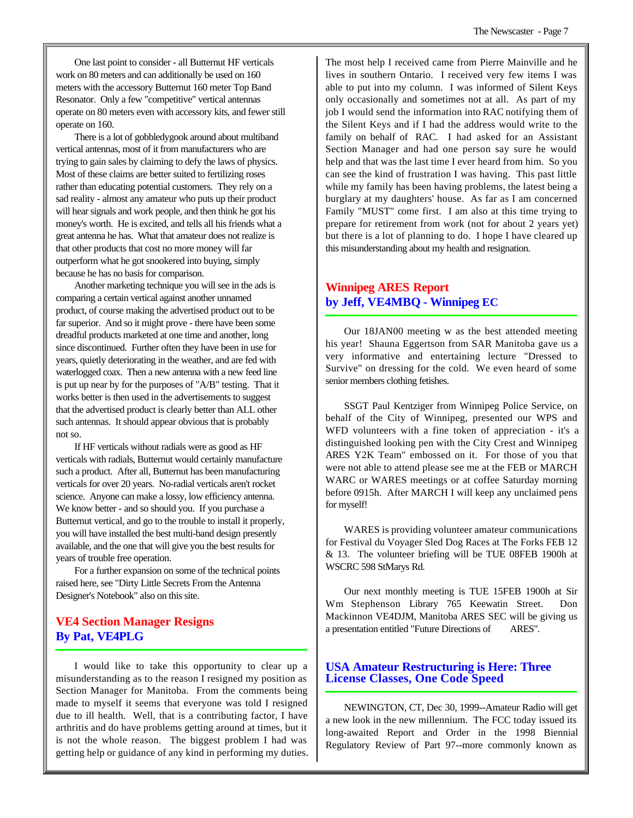One last point to consider - all Butternut HF verticals work on 80 meters and can additionally be used on 160 meters with the accessory Butternut 160 meter Top Band Resonator. Only a few "competitive" vertical antennas operate on 80 meters even with accessory kits, and fewer still operate on 160.

There is a lot of gobbledygook around about multiband vertical antennas, most of it from manufacturers who are trying to gain sales by claiming to defy the laws of physics. Most of these claims are better suited to fertilizing roses rather than educating potential customers. They rely on a sad reality - almost any amateur who puts up their product will hear signals and work people, and then think he got his money's worth. He is excited, and tells all his friends what a great antenna he has. What that amateur does not realize is that other products that cost no more money will far outperform what he got snookered into buying, simply because he has no basis for comparison.

Another marketing technique you will see in the ads is comparing a certain vertical against another unnamed product, of course making the advertised product out to be far superior. And so it might prove - there have been some dreadful products marketed at one time and another, long since discontinued. Further often they have been in use for years, quietly deteriorating in the weather, and are fed with waterlogged coax. Then a new antenna with a new feed line is put up near by for the purposes of "A/B" testing. That it works better is then used in the advertisements to suggest that the advertised product is clearly better than ALL other such antennas. It should appear obvious that is probably not so.

If HF verticals without radials were as good as HF verticals with radials, Butternut would certainly manufacture such a product. After all, Butternut has been manufacturing verticals for over 20 years. No-radial verticals aren't rocket science. Anyone can make a lossy, low efficiency antenna. We know better - and so should you. If you purchase a Butternut vertical, and go to the trouble to install it properly, you will have installed the best multi-band design presently available, and the one that will give you the best results for years of trouble free operation.

For a further expansion on some of the technical points raised here, see "Dirty Little Secrets From the Antenna Designer's Notebook" also on this site.

# **VE4 Section Manager Resigns By Pat, VE4PLG**

I would like to take this opportunity to clear up a misunderstanding as to the reason I resigned my position as Section Manager for Manitoba. From the comments being made to myself it seems that everyone was told I resigned due to ill health. Well, that is a contributing factor, I have arthritis and do have problems getting around at times, but it is not the whole reason. The biggest problem I had was getting help or guidance of any kind in performing my duties.

The most help I received came from Pierre Mainville and he lives in southern Ontario. I received very few items I was able to put into my column. I was informed of Silent Keys only occasionally and sometimes not at all. As part of my job I would send the information into RAC notifying them of the Silent Keys and if I had the address would write to the family on behalf of RAC. I had asked for an Assistant Section Manager and had one person say sure he would help and that was the last time I ever heard from him. So you can see the kind of frustration I was having. This past little while my family has been having problems, the latest being a burglary at my daughters' house. As far as I am concerned Family "MUST" come first. I am also at this time trying to prepare for retirement from work (not for about 2 years yet) but there is a lot of planning to do. I hope I have cleared up this misunderstanding about my health and resignation.

# **Winnipeg ARES Report by Jeff, VE4MBQ - Winnipeg EC**

Our 18JAN00 meeting w as the best attended meeting his year! Shauna Eggertson from SAR Manitoba gave us a very informative and entertaining lecture "Dressed to Survive" on dressing for the cold. We even heard of some senior members clothing fetishes.

SSGT Paul Kentziger from Winnipeg Police Service, on behalf of the City of Winnipeg, presented our WPS and WFD volunteers with a fine token of appreciation - it's a distinguished looking pen with the City Crest and Winnipeg ARES Y2K Team" embossed on it. For those of you that were not able to attend please see me at the FEB or MARCH WARC or WARES meetings or at coffee Saturday morning before 0915h. After MARCH I will keep any unclaimed pens for myself!

WARES is providing volunteer amateur communications for Festival du Voyager Sled Dog Races at The Forks FEB 12 & 13. The volunteer briefing will be TUE 08FEB 1900h at WSCRC 598 StMarys Rd.

Our next monthly meeting is TUE 15FEB 1900h at Sir Wm Stephenson Library 765 Keewatin Street. Don Mackinnon VE4DJM, Manitoba ARES SEC will be giving us a presentation entitled "Future Directions of ARES".

# **USA Amateur Restructuring is Here: Three License Classes, One Code Speed**

NEWINGTON, CT, Dec 30, 1999--Amateur Radio will get a new look in the new millennium. The FCC today issued its long-awaited Report and Order in the 1998 Biennial Regulatory Review of Part 97--more commonly known as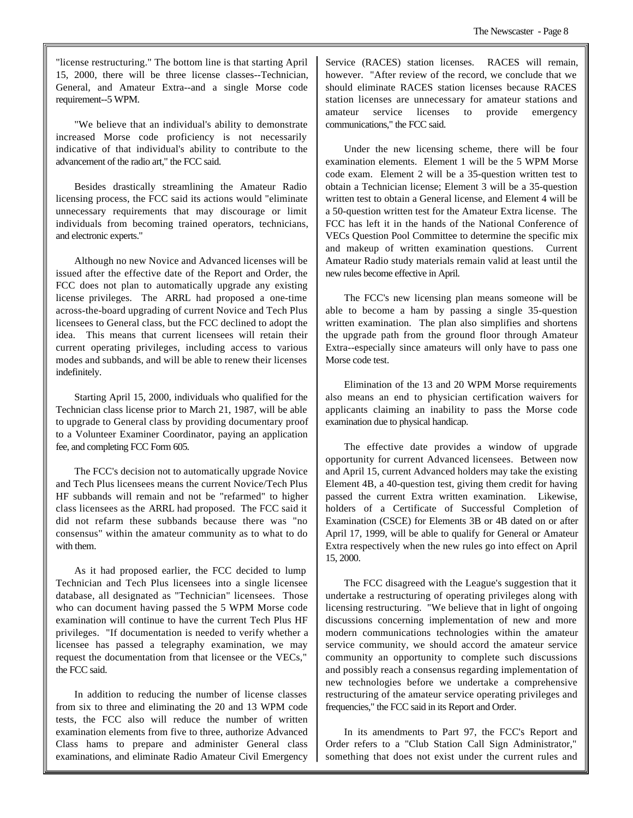"license restructuring." The bottom line is that starting April 15, 2000, there will be three license classes--Technician, General, and Amateur Extra--and a single Morse code requirement--5 WPM.

"We believe that an individual's ability to demonstrate increased Morse code proficiency is not necessarily indicative of that individual's ability to contribute to the advancement of the radio art," the FCC said.

Besides drastically streamlining the Amateur Radio licensing process, the FCC said its actions would "eliminate unnecessary requirements that may discourage or limit individuals from becoming trained operators, technicians, and electronic experts."

Although no new Novice and Advanced licenses will be issued after the effective date of the Report and Order, the FCC does not plan to automatically upgrade any existing license privileges. The ARRL had proposed a one-time across-the-board upgrading of current Novice and Tech Plus licensees to General class, but the FCC declined to adopt the idea. This means that current licensees will retain their current operating privileges, including access to various modes and subbands, and will be able to renew their licenses indefinitely.

Starting April 15, 2000, individuals who qualified for the Technician class license prior to March 21, 1987, will be able to upgrade to General class by providing documentary proof to a Volunteer Examiner Coordinator, paying an application fee, and completing FCC Form 605.

The FCC's decision not to automatically upgrade Novice and Tech Plus licensees means the current Novice/Tech Plus HF subbands will remain and not be "refarmed" to higher class licensees as the ARRL had proposed. The FCC said it did not refarm these subbands because there was "no consensus" within the amateur community as to what to do with them.

As it had proposed earlier, the FCC decided to lump Technician and Tech Plus licensees into a single licensee database, all designated as "Technician" licensees. Those who can document having passed the 5 WPM Morse code examination will continue to have the current Tech Plus HF privileges. "If documentation is needed to verify whether a licensee has passed a telegraphy examination, we may request the documentation from that licensee or the VECs," the FCC said.

In addition to reducing the number of license classes from six to three and eliminating the 20 and 13 WPM code tests, the FCC also will reduce the number of written examination elements from five to three, authorize Advanced Class hams to prepare and administer General class examinations, and eliminate Radio Amateur Civil Emergency Service (RACES) station licenses. RACES will remain, however. "After review of the record, we conclude that we should eliminate RACES station licenses because RACES station licenses are unnecessary for amateur stations and amateur service licenses to provide emergency communications," the FCC said.

Under the new licensing scheme, there will be four examination elements. Element 1 will be the 5 WPM Morse code exam. Element 2 will be a 35-question written test to obtain a Technician license; Element 3 will be a 35-question written test to obtain a General license, and Element 4 will be a 50-question written test for the Amateur Extra license. The FCC has left it in the hands of the National Conference of VECs Question Pool Committee to determine the specific mix and makeup of written examination questions. Current Amateur Radio study materials remain valid at least until the new rules become effective in April.

The FCC's new licensing plan means someone will be able to become a ham by passing a single 35-question written examination. The plan also simplifies and shortens the upgrade path from the ground floor through Amateur Extra--especially since amateurs will only have to pass one Morse code test.

Elimination of the 13 and 20 WPM Morse requirements also means an end to physician certification waivers for applicants claiming an inability to pass the Morse code examination due to physical handicap.

The effective date provides a window of upgrade opportunity for current Advanced licensees. Between now and April 15, current Advanced holders may take the existing Element 4B, a 40-question test, giving them credit for having passed the current Extra written examination. Likewise, holders of a Certificate of Successful Completion of Examination (CSCE) for Elements 3B or 4B dated on or after April 17, 1999, will be able to qualify for General or Amateur Extra respectively when the new rules go into effect on April 15, 2000.

The FCC disagreed with the League's suggestion that it undertake a restructuring of operating privileges along with licensing restructuring. "We believe that in light of ongoing discussions concerning implementation of new and more modern communications technologies within the amateur service community, we should accord the amateur service community an opportunity to complete such discussions and possibly reach a consensus regarding implementation of new technologies before we undertake a comprehensive restructuring of the amateur service operating privileges and frequencies," the FCC said in its Report and Order.

In its amendments to Part 97, the FCC's Report and Order refers to a "Club Station Call Sign Administrator," something that does not exist under the current rules and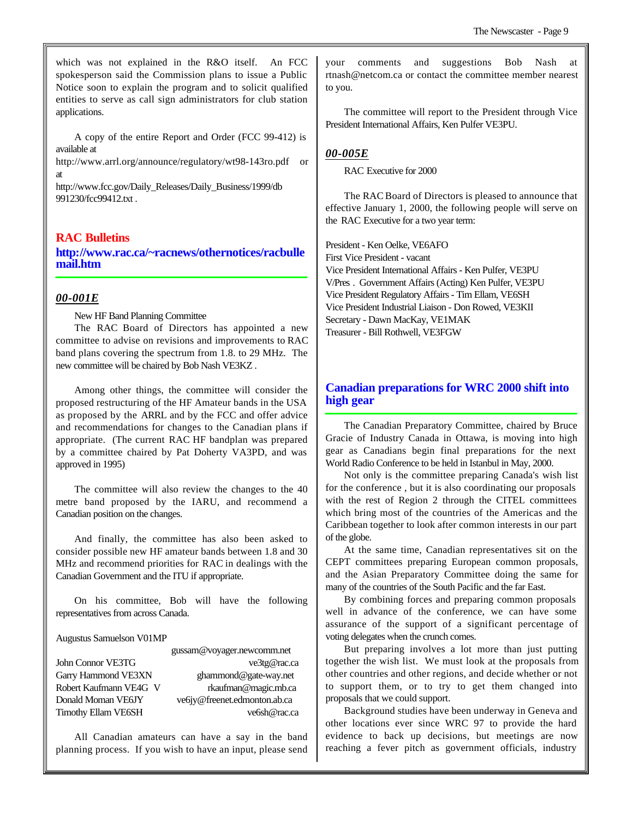which was not explained in the R&O itself. An FCC spokesperson said the Commission plans to issue a Public Notice soon to explain the program and to solicit qualified entities to serve as call sign administrators for club station applications.

A copy of the entire Report and Order (FCC 99-412) is available at

http://www.arrl.org/announce/regulatory/wt98-143ro.pdf or at

http://www.fcc.gov/Daily\_Releases/Daily\_Business/1999/db 991230/fcc99412.txt .

#### **RAC Bulletins**

**http://www.rac.ca/~racnews/othernotices/racbulle mail.htm**

#### *00-001E*

New HF Band Planning Committee

The RAC Board of Directors has appointed a new committee to advise on revisions and improvements to RAC band plans covering the spectrum from 1.8. to 29 MHz. The new committee will be chaired by Bob Nash VE3KZ .

Among other things, the committee will consider the proposed restructuring of the HF Amateur bands in the USA as proposed by the ARRL and by the FCC and offer advice and recommendations for changes to the Canadian plans if appropriate. (The current RAC HF bandplan was prepared by a committee chaired by Pat Doherty VA3PD, and was approved in 1995)

The committee will also review the changes to the 40 metre band proposed by the IARU, and recommend a Canadian position on the changes.

And finally, the committee has also been asked to consider possible new HF amateur bands between 1.8 and 30 MHz and recommend priorities for RAC in dealings with the Canadian Government and the ITU if appropriate.

On his committee, Bob will have the following representatives from across Canada.

#### Augustus Samuelson V01MP

# gussam@voyager.newcomm.net

John Connor VE3TG ve3tg@rac.ca Garry Hammond VE3XN ghammond@gate-way.net Robert Kaufmann VE4G V rkaufman@magic.mb.ca Donald Moman VE6JY ve6jy@freenet.edmonton.ab.ca Timothy Ellam VE6SH ve6sh@rac.ca

All Canadian amateurs can have a say in the band planning process. If you wish to have an input, please send your comments and suggestions Bob Nash rtnash@netcom.ca or contact the committee member nearest to you.

The committee will report to the President through Vice President International Affairs, Ken Pulfer VE3PU.

#### *00-005E*

RAC Executive for 2000

The RAC Board of Directors is pleased to announce that effective January 1, 2000, the following people will serve on the RAC Executive for a two year term:

President - Ken Oelke, VE6AFO First Vice President - vacant Vice President International Affairs - Ken Pulfer, VE3PU V/Pres . Government Affairs (Acting) Ken Pulfer, VE3PU Vice President Regulatory Affairs - Tim Ellam, VE6SH Vice President Industrial Liaison - Don Rowed, VE3KII Secretary - Dawn MacKay, VE1MAK Treasurer - Bill Rothwell, VE3FGW

# **Canadian preparations for WRC 2000 shift into high gear**

The Canadian Preparatory Committee, chaired by Bruce Gracie of Industry Canada in Ottawa, is moving into high gear as Canadians begin final preparations for the next World Radio Conference to be held in Istanbul in May, 2000.

Not only is the committee preparing Canada's wish list for the conference , but it is also coordinating our proposals with the rest of Region 2 through the CITEL committees which bring most of the countries of the Americas and the Caribbean together to look after common interests in our part of the globe.

At the same time, Canadian representatives sit on the CEPT committees preparing European common proposals, and the Asian Preparatory Committee doing the same for many of the countries of the South Pacific and the far East.

By combining forces and preparing common proposals well in advance of the conference, we can have some assurance of the support of a significant percentage of voting delegates when the crunch comes.

But preparing involves a lot more than just putting together the wish list. We must look at the proposals from other countries and other regions, and decide whether or not to support them, or to try to get them changed into proposals that we could support.

Background studies have been underway in Geneva and other locations ever since WRC 97 to provide the hard evidence to back up decisions, but meetings are now reaching a fever pitch as government officials, industry